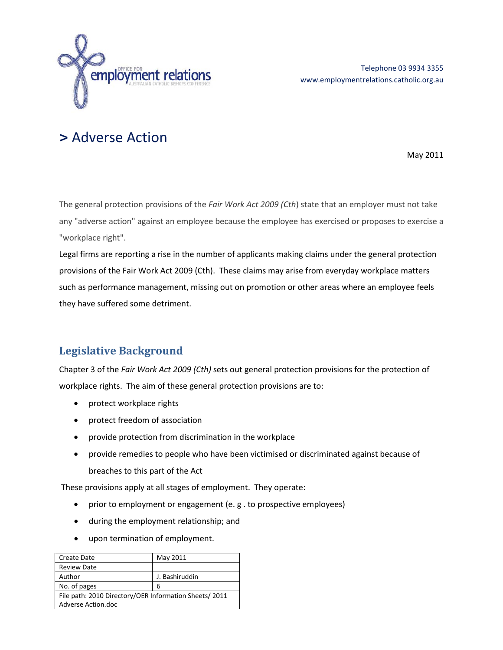

# **>** Adverse Action

May 2011

The general protection provisions of the *Fair Work Act 2009 (Cth*) state that an employer must not take any "adverse action" against an employee because the employee has exercised or proposes to exercise a "workplace right".

Legal firms are reporting a rise in the number of applicants making claims under the general protection provisions of the Fair Work Act 2009 (Cth). These claims may arise from everyday workplace matters such as performance management, missing out on promotion or other areas where an employee feels they have suffered some detriment.

# **Legislative Background**

Chapter 3 of the *Fair Work Act 2009 (Cth)* sets out general protection provisions for the protection of workplace rights. The aim of these general protection provisions are to:

- protect workplace rights
- protect freedom of association
- provide protection from discrimination in the workplace
- provide remedies to people who have been victimised or discriminated against because of breaches to this part of the Act

These provisions apply at all stages of employment. They operate:

- prior to employment or engagement (e.g. to prospective employees)
- during the employment relationship; and
- upon termination of employment.

| Create Date                                           | May 2011       |
|-------------------------------------------------------|----------------|
| <b>Review Date</b>                                    |                |
| Author                                                | J. Bashiruddin |
| No. of pages                                          | 6              |
| File path: 2010 Directory/OER Information Sheets/2011 |                |
| Adverse Action.doc                                    |                |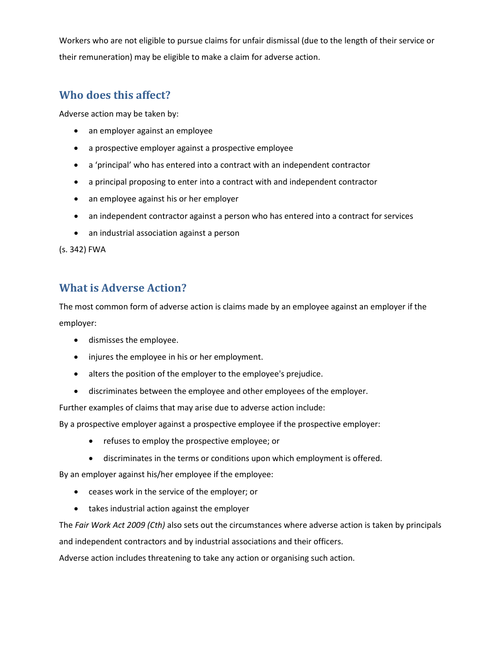Workers who are not eligible to pursue claims for unfair dismissal (due to the length of their service or their remuneration) may be eligible to make a claim for adverse action.

### **Who does this affect?**

Adverse action may be taken by:

- an employer against an employee
- a prospective employer against a prospective employee
- a 'principal' who has entered into a contract with an independent contractor
- a principal proposing to enter into a contract with and independent contractor
- an employee against his or her employer
- an independent contractor against a person who has entered into a contract for services
- an industrial association against a person

(s. 342) FWA

#### **What is Adverse Action?**

The most common form of adverse action is claims made by an employee against an employer if the employer:

- dismisses the employee.
- injures the employee in his or her employment.
- alters the position of the employer to the employee's prejudice.
- discriminates between the employee and other employees of the employer.

Further examples of claims that may arise due to adverse action include:

By a prospective employer against a prospective employee if the prospective employer:

- refuses to employ the prospective employee; or
- discriminates in the terms or conditions upon which employment is offered.

By an employer against his/her employee if the employee:

- ceases work in the service of the employer; or
- takes industrial action against the employer

The *Fair Work Act 2009 (Cth)* also sets out the circumstances where adverse action is taken by principals

and independent contractors and by industrial associations and their officers.

Adverse action includes threatening to take any action or organising such action.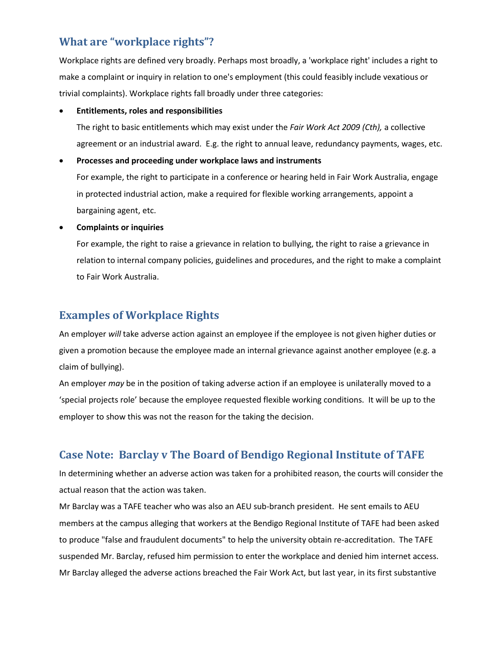# **What are "workplace rights"?**

Workplace rights are defined very broadly. Perhaps most broadly, a 'workplace right' includes a right to make a complaint or inquiry in relation to one's employment (this could feasibly include vexatious or trivial complaints). Workplace rights fall broadly under three categories:

#### • **Entitlements, roles and responsibilities**

The right to basic entitlements which may exist under the *Fair Work Act 2009 (Cth),* a collective agreement or an industrial award. E.g. the right to annual leave, redundancy payments, wages, etc.

#### • **Processes and proceeding under workplace laws and instruments**

For example, the right to participate in a conference or hearing held in Fair Work Australia, engage in protected industrial action, make a required for flexible working arrangements, appoint a bargaining agent, etc.

#### • **Complaints or inquiries**

For example, the right to raise a grievance in relation to bullying, the right to raise a grievance in relation to internal company policies, guidelines and procedures, and the right to make a complaint to Fair Work Australia.

# **Examples of Workplace Rights**

An employer *will* take adverse action against an employee if the employee is not given higher duties or given a promotion because the employee made an internal grievance against another employee (e.g. a claim of bullying).

An employer *may* be in the position of taking adverse action if an employee is unilaterally moved to a 'special projects role' because the employee requested flexible working conditions. It will be up to the employer to show this was not the reason for the taking the decision.

# **Case Note: Barclay v The Board of Bendigo Regional Institute of TAFE**

In determining whether an adverse action was taken for a prohibited reason, the courts will consider the actual reason that the action was taken.

Mr Barclay was a TAFE teacher who was also an AEU sub-branch president. He sent emails to AEU members at the campus alleging that workers at the Bendigo Regional Institute of TAFE had been asked to produce "false and fraudulent documents" to help the university obtain re-accreditation. The TAFE suspended Mr. Barclay, refused him permission to enter the workplace and denied him internet access. Mr Barclay alleged the adverse actions breached the Fair Work Act, but last year, in its first substantive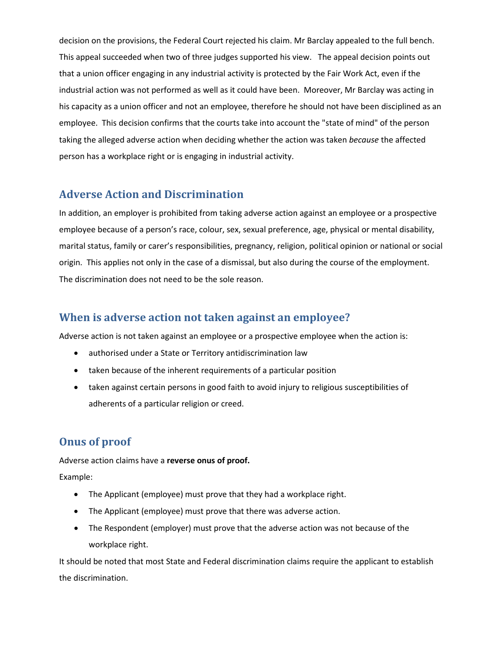decision on the provisions, the Federal Court rejected his claim. Mr Barclay appealed to the full bench. This appeal succeeded when two of three judges supported his view. The appeal decision points out that a union officer engaging in any industrial activity is protected by the Fair Work Act, even if the industrial action was not performed as well as it could have been. Moreover, Mr Barclay was acting in his capacity as a union officer and not an employee, therefore he should not have been disciplined as an employee. This decision confirms that the courts take into account the "state of mind" of the person taking the alleged adverse action when deciding whether the action was taken *because* the affected person has a workplace right or is engaging in industrial activity.

#### **Adverse Action and Discrimination**

In addition, an employer is prohibited from taking adverse action against an employee or a prospective employee because of a person's race, colour, sex, sexual preference, age, physical or mental disability, marital status, family or carer's responsibilities, pregnancy, religion, political opinion or national or social origin. This applies not only in the case of a dismissal, but also during the course of the employment. The discrimination does not need to be the sole reason.

#### **When is adverse action not taken against an employee?**

Adverse action is not taken against an employee or a prospective employee when the action is:

- authorised under a State or Territory antidiscrimination law
- taken because of the inherent requirements of a particular position
- taken against certain persons in good faith to avoid injury to religious susceptibilities of adherents of a particular religion or creed.

# **Onus of proof**

Adverse action claims have a **reverse onus of proof.**

Example:

- The Applicant (employee) must prove that they had a workplace right.
- The Applicant (employee) must prove that there was adverse action.
- The Respondent (employer) must prove that the adverse action was not because of the workplace right.

It should be noted that most State and Federal discrimination claims require the applicant to establish the discrimination.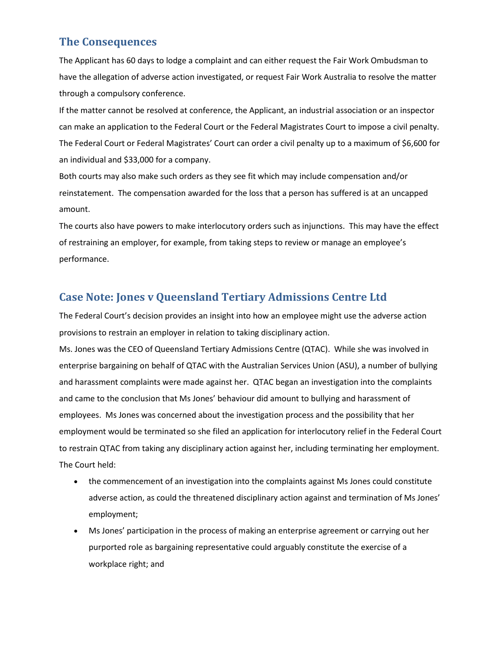#### **The Consequences**

The Applicant has 60 days to lodge a complaint and can either request the Fair Work Ombudsman to have the allegation of adverse action investigated, or request Fair Work Australia to resolve the matter through a compulsory conference.

If the matter cannot be resolved at conference, the Applicant, an industrial association or an inspector can make an application to the Federal Court or the Federal Magistrates Court to impose a civil penalty. The Federal Court or Federal Magistrates' Court can order a civil penalty up to a maximum of \$6,600 for an individual and \$33,000 for a company.

Both courts may also make such orders as they see fit which may include compensation and/or reinstatement. The compensation awarded for the loss that a person has suffered is at an uncapped amount.

The courts also have powers to make interlocutory orders such as injunctions. This may have the effect of restraining an employer, for example, from taking steps to review or manage an employee's performance.

### **Case Note: Jones v Queensland Tertiary Admissions Centre Ltd**

The Federal Court's decision provides an insight into how an employee might use the adverse action provisions to restrain an employer in relation to taking disciplinary action.

Ms. Jones was the CEO of Queensland Tertiary Admissions Centre (QTAC). While she was involved in enterprise bargaining on behalf of QTAC with the Australian Services Union (ASU), a number of bullying and harassment complaints were made against her. QTAC began an investigation into the complaints and came to the conclusion that Ms Jones' behaviour did amount to bullying and harassment of employees. Ms Jones was concerned about the investigation process and the possibility that her employment would be terminated so she filed an application for interlocutory relief in the Federal Court to restrain QTAC from taking any disciplinary action against her, including terminating her employment. The Court held:

- the commencement of an investigation into the complaints against Ms Jones could constitute adverse action, as could the threatened disciplinary action against and termination of Ms Jones' employment;
- Ms Jones' participation in the process of making an enterprise agreement or carrying out her purported role as bargaining representative could arguably constitute the exercise of a workplace right; and